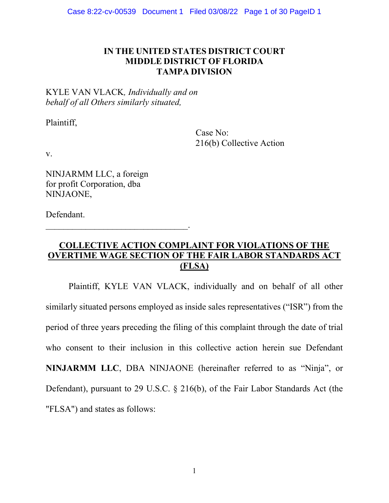# IN THE UNITED STATES DISTRICT COURT MIDDLE DISTRICT OF FLORIDA TAMPA DIVISION

# KYLE VAN VLACK, Individually and on behalf of all Others similarly situated,

 $\mathcal{L}_\text{max}$  and  $\mathcal{L}_\text{max}$  and  $\mathcal{L}_\text{max}$  and  $\mathcal{L}_\text{max}$ 

Plaintiff,

 Case No: 216(b) Collective Action

v.

NINJARMM LLC, a foreign for profit Corporation, dba NINJAONE,

Defendant.

# COLLECTIVE ACTION COMPLAINT FOR VIOLATIONS OF THE OVERTIME WAGE SECTION OF THE FAIR LABOR STANDARDS ACT (FLSA)

Plaintiff, KYLE VAN VLACK, individually and on behalf of all other similarly situated persons employed as inside sales representatives ("ISR") from the period of three years preceding the filing of this complaint through the date of trial who consent to their inclusion in this collective action herein sue Defendant NINJARMM LLC, DBA NINJAONE (hereinafter referred to as "Ninja", or Defendant), pursuant to 29 U.S.C. § 216(b), of the Fair Labor Standards Act (the "FLSA") and states as follows: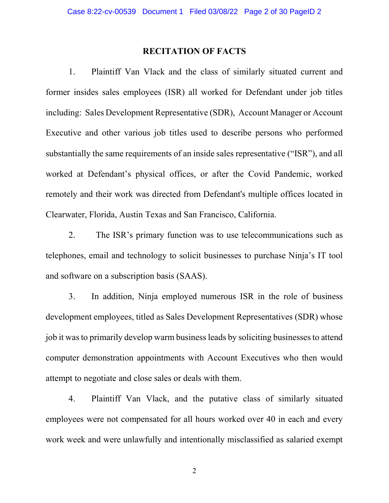## RECITATION OF FACTS

1. Plaintiff Van Vlack and the class of similarly situated current and former insides sales employees (ISR) all worked for Defendant under job titles including: Sales Development Representative (SDR), Account Manager or Account Executive and other various job titles used to describe persons who performed substantially the same requirements of an inside sales representative ("ISR"), and all worked at Defendant's physical offices, or after the Covid Pandemic, worked remotely and their work was directed from Defendant's multiple offices located in Clearwater, Florida, Austin Texas and San Francisco, California.

2. The ISR's primary function was to use telecommunications such as telephones, email and technology to solicit businesses to purchase Ninja's IT tool and software on a subscription basis (SAAS).

3. In addition, Ninja employed numerous ISR in the role of business development employees, titled as Sales Development Representatives (SDR) whose job it was to primarily develop warm business leads by soliciting businesses to attend computer demonstration appointments with Account Executives who then would attempt to negotiate and close sales or deals with them.

4. Plaintiff Van Vlack, and the putative class of similarly situated employees were not compensated for all hours worked over 40 in each and every work week and were unlawfully and intentionally misclassified as salaried exempt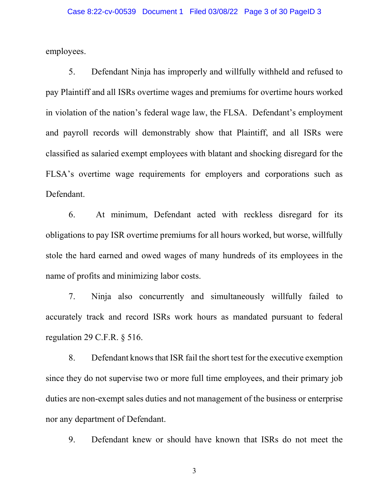employees.

5. Defendant Ninja has improperly and willfully withheld and refused to pay Plaintiff and all ISRs overtime wages and premiums for overtime hours worked in violation of the nation's federal wage law, the FLSA. Defendant's employment and payroll records will demonstrably show that Plaintiff, and all ISRs were classified as salaried exempt employees with blatant and shocking disregard for the FLSA's overtime wage requirements for employers and corporations such as Defendant.

6. At minimum, Defendant acted with reckless disregard for its obligations to pay ISR overtime premiums for all hours worked, but worse, willfully stole the hard earned and owed wages of many hundreds of its employees in the name of profits and minimizing labor costs.

7. Ninja also concurrently and simultaneously willfully failed to accurately track and record ISRs work hours as mandated pursuant to federal regulation 29 C.F.R. § 516.

8. Defendant knows that ISR fail the short test for the executive exemption since they do not supervise two or more full time employees, and their primary job duties are non-exempt sales duties and not management of the business or enterprise nor any department of Defendant.

9. Defendant knew or should have known that ISRs do not meet the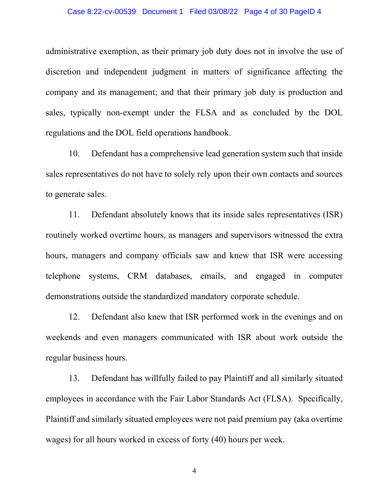#### Case 8:22-cv-00539 Document 1 Filed 03/08/22 Page 4 of 30 PageID 4

administrative exemption, as their primary job duty does not in involve the use of discretion and independent judgment in matters of significance affecting the company and its management; and that their primary job duty is production and sales, typically non-exempt under the FLSA and as concluded by the DOL regulations and the DOL field operations handbook.

10. Defendant has a comprehensive lead generation system such that inside sales representatives do not have to solely rely upon their own contacts and sources to generate sales.

11. Defendant absolutely knows that its inside sales representatives (ISR) routinely worked overtime hours, as managers and supervisors witnessed the extra hours, managers and company officials saw and knew that ISR were accessing telephone systems, CRM databases, emails, and engaged in computer demonstrations outside the standardized mandatory corporate schedule.

12. Defendant also knew that ISR performed work in the evenings and on weekends and even managers communicated with ISR about work outside the regular business hours.

13. Defendant has willfully failed to pay Plaintiff and all similarly situated employees in accordance with the Fair Labor Standards Act (FLSA). Specifically, Plaintiff and similarly situated employees were not paid premium pay (aka overtime wages) for all hours worked in excess of forty (40) hours per week.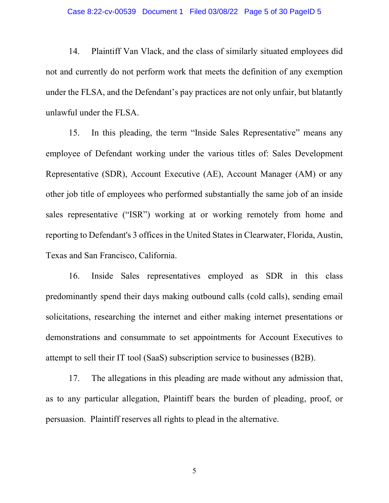14. Plaintiff Van Vlack, and the class of similarly situated employees did not and currently do not perform work that meets the definition of any exemption under the FLSA, and the Defendant's pay practices are not only unfair, but blatantly unlawful under the FLSA.

15. In this pleading, the term "Inside Sales Representative" means any employee of Defendant working under the various titles of: Sales Development Representative (SDR), Account Executive (AE), Account Manager (AM) or any other job title of employees who performed substantially the same job of an inside sales representative ("ISR") working at or working remotely from home and reporting to Defendant's 3 offices in the United States in Clearwater, Florida, Austin, Texas and San Francisco, California.

16. Inside Sales representatives employed as SDR in this class predominantly spend their days making outbound calls (cold calls), sending email solicitations, researching the internet and either making internet presentations or demonstrations and consummate to set appointments for Account Executives to attempt to sell their IT tool (SaaS) subscription service to businesses (B2B).

17. The allegations in this pleading are made without any admission that, as to any particular allegation, Plaintiff bears the burden of pleading, proof, or persuasion. Plaintiff reserves all rights to plead in the alternative.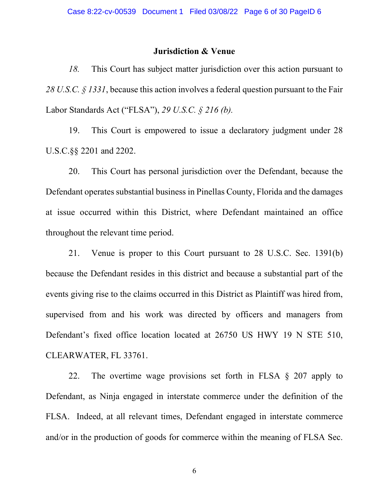### Jurisdiction & Venue

18. This Court has subject matter jurisdiction over this action pursuant to 28 U.S.C.  $\frac{28}{1331}$ , because this action involves a federal question pursuant to the Fair Labor Standards Act ("FLSA"), 29 U.S.C. § 216 (b).

19. This Court is empowered to issue a declaratory judgment under 28 U.S.C.§§ 2201 and 2202.

20. This Court has personal jurisdiction over the Defendant, because the Defendant operates substantial business in Pinellas County, Florida and the damages at issue occurred within this District, where Defendant maintained an office throughout the relevant time period.

21. Venue is proper to this Court pursuant to 28 U.S.C. Sec. 1391(b) because the Defendant resides in this district and because a substantial part of the events giving rise to the claims occurred in this District as Plaintiff was hired from, supervised from and his work was directed by officers and managers from Defendant's fixed office location located at 26750 US HWY 19 N STE 510, CLEARWATER, FL 33761.

22. The overtime wage provisions set forth in FLSA § 207 apply to Defendant, as Ninja engaged in interstate commerce under the definition of the FLSA. Indeed, at all relevant times, Defendant engaged in interstate commerce and/or in the production of goods for commerce within the meaning of FLSA Sec.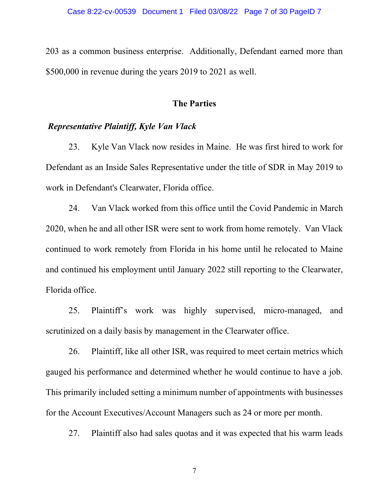203 as a common business enterprise. Additionally, Defendant earned more than \$500,000 in revenue during the years 2019 to 2021 as well.

### The Parties

## Representative Plaintiff, Kyle Van Vlack

23. Kyle Van Vlack now resides in Maine. He was first hired to work for Defendant as an Inside Sales Representative under the title of SDR in May 2019 to work in Defendant's Clearwater, Florida office.

24. Van Vlack worked from this office until the Covid Pandemic in March 2020, when he and all other ISR were sent to work from home remotely. Van Vlack continued to work remotely from Florida in his home until he relocated to Maine and continued his employment until January 2022 still reporting to the Clearwater, Florida office.

25. Plaintiff's work was highly supervised, micro-managed, and scrutinized on a daily basis by management in the Clearwater office.

26. Plaintiff, like all other ISR, was required to meet certain metrics which gauged his performance and determined whether he would continue to have a job. This primarily included setting a minimum number of appointments with businesses for the Account Executives/Account Managers such as 24 or more per month.

27. Plaintiff also had sales quotas and it was expected that his warm leads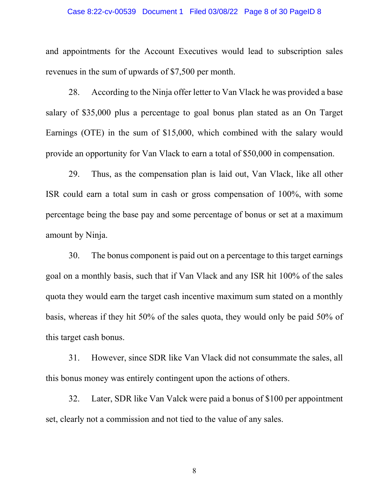#### Case 8:22-cv-00539 Document 1 Filed 03/08/22 Page 8 of 30 PageID 8

and appointments for the Account Executives would lead to subscription sales revenues in the sum of upwards of \$7,500 per month.

28. According to the Ninja offer letter to Van Vlack he was provided a base salary of \$35,000 plus a percentage to goal bonus plan stated as an On Target Earnings (OTE) in the sum of \$15,000, which combined with the salary would provide an opportunity for Van Vlack to earn a total of \$50,000 in compensation.

29. Thus, as the compensation plan is laid out, Van Vlack, like all other ISR could earn a total sum in cash or gross compensation of 100%, with some percentage being the base pay and some percentage of bonus or set at a maximum amount by Ninja.

30. The bonus component is paid out on a percentage to this target earnings goal on a monthly basis, such that if Van Vlack and any ISR hit 100% of the sales quota they would earn the target cash incentive maximum sum stated on a monthly basis, whereas if they hit 50% of the sales quota, they would only be paid 50% of this target cash bonus.

31. However, since SDR like Van Vlack did not consummate the sales, all this bonus money was entirely contingent upon the actions of others.

32. Later, SDR like Van Valck were paid a bonus of \$100 per appointment set, clearly not a commission and not tied to the value of any sales.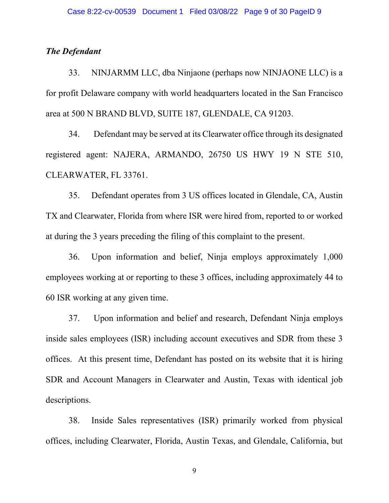## The Defendant

33. NINJARMM LLC, dba Ninjaone (perhaps now NINJAONE LLC) is a for profit Delaware company with world headquarters located in the San Francisco area at 500 N BRAND BLVD, SUITE 187, GLENDALE, CA 91203.

34. Defendant may be served at its Clearwater office through its designated registered agent: NAJERA, ARMANDO, 26750 US HWY 19 N STE 510, CLEARWATER, FL 33761.

35. Defendant operates from 3 US offices located in Glendale, CA, Austin TX and Clearwater, Florida from where ISR were hired from, reported to or worked at during the 3 years preceding the filing of this complaint to the present.

36. Upon information and belief, Ninja employs approximately 1,000 employees working at or reporting to these 3 offices, including approximately 44 to 60 ISR working at any given time.

37. Upon information and belief and research, Defendant Ninja employs inside sales employees (ISR) including account executives and SDR from these 3 offices. At this present time, Defendant has posted on its website that it is hiring SDR and Account Managers in Clearwater and Austin, Texas with identical job descriptions.

38. Inside Sales representatives (ISR) primarily worked from physical offices, including Clearwater, Florida, Austin Texas, and Glendale, California, but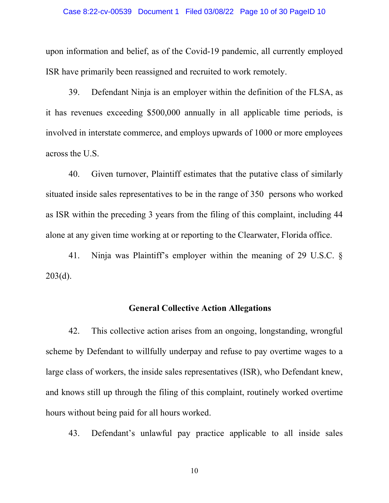#### Case 8:22-cv-00539 Document 1 Filed 03/08/22 Page 10 of 30 PageID 10

upon information and belief, as of the Covid-19 pandemic, all currently employed ISR have primarily been reassigned and recruited to work remotely.

39. Defendant Ninja is an employer within the definition of the FLSA, as it has revenues exceeding \$500,000 annually in all applicable time periods, is involved in interstate commerce, and employs upwards of 1000 or more employees across the U.S.

40. Given turnover, Plaintiff estimates that the putative class of similarly situated inside sales representatives to be in the range of 350 persons who worked as ISR within the preceding 3 years from the filing of this complaint, including 44 alone at any given time working at or reporting to the Clearwater, Florida office.

41. Ninja was Plaintiff's employer within the meaning of 29 U.S.C. §  $203(d)$ .

## General Collective Action Allegations

42. This collective action arises from an ongoing, longstanding, wrongful scheme by Defendant to willfully underpay and refuse to pay overtime wages to a large class of workers, the inside sales representatives (ISR), who Defendant knew, and knows still up through the filing of this complaint, routinely worked overtime hours without being paid for all hours worked.

43. Defendant's unlawful pay practice applicable to all inside sales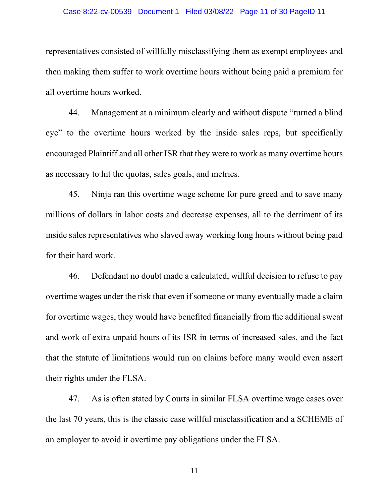#### Case 8:22-cv-00539 Document 1 Filed 03/08/22 Page 11 of 30 PageID 11

representatives consisted of willfully misclassifying them as exempt employees and then making them suffer to work overtime hours without being paid a premium for all overtime hours worked.

44. Management at a minimum clearly and without dispute "turned a blind eye" to the overtime hours worked by the inside sales reps, but specifically encouraged Plaintiff and all other ISR that they were to work as many overtime hours as necessary to hit the quotas, sales goals, and metrics.

45. Ninja ran this overtime wage scheme for pure greed and to save many millions of dollars in labor costs and decrease expenses, all to the detriment of its inside sales representatives who slaved away working long hours without being paid for their hard work.

46. Defendant no doubt made a calculated, willful decision to refuse to pay overtime wages under the risk that even if someone or many eventually made a claim for overtime wages, they would have benefited financially from the additional sweat and work of extra unpaid hours of its ISR in terms of increased sales, and the fact that the statute of limitations would run on claims before many would even assert their rights under the FLSA.

47. As is often stated by Courts in similar FLSA overtime wage cases over the last 70 years, this is the classic case willful misclassification and a SCHEME of an employer to avoid it overtime pay obligations under the FLSA.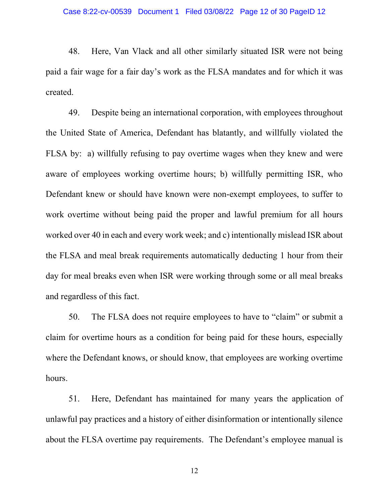48. Here, Van Vlack and all other similarly situated ISR were not being paid a fair wage for a fair day's work as the FLSA mandates and for which it was created.

49. Despite being an international corporation, with employees throughout the United State of America, Defendant has blatantly, and willfully violated the FLSA by: a) willfully refusing to pay overtime wages when they knew and were aware of employees working overtime hours; b) willfully permitting ISR, who Defendant knew or should have known were non-exempt employees, to suffer to work overtime without being paid the proper and lawful premium for all hours worked over 40 in each and every work week; and c) intentionally mislead ISR about the FLSA and meal break requirements automatically deducting 1 hour from their day for meal breaks even when ISR were working through some or all meal breaks and regardless of this fact.

50. The FLSA does not require employees to have to "claim" or submit a claim for overtime hours as a condition for being paid for these hours, especially where the Defendant knows, or should know, that employees are working overtime hours.

51. Here, Defendant has maintained for many years the application of unlawful pay practices and a history of either disinformation or intentionally silence about the FLSA overtime pay requirements. The Defendant's employee manual is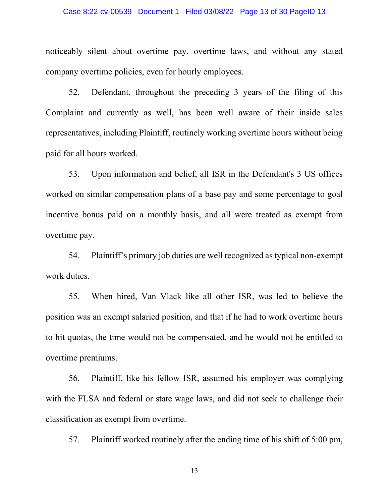#### Case 8:22-cv-00539 Document 1 Filed 03/08/22 Page 13 of 30 PageID 13

noticeably silent about overtime pay, overtime laws, and without any stated company overtime policies, even for hourly employees.

52. Defendant, throughout the preceding 3 years of the filing of this Complaint and currently as well, has been well aware of their inside sales representatives, including Plaintiff, routinely working overtime hours without being paid for all hours worked.

53. Upon information and belief, all ISR in the Defendant's 3 US offices worked on similar compensation plans of a base pay and some percentage to goal incentive bonus paid on a monthly basis, and all were treated as exempt from overtime pay.

54. Plaintiff's primary job duties are well recognized as typical non-exempt work duties.

55. When hired, Van Vlack like all other ISR, was led to believe the position was an exempt salaried position, and that if he had to work overtime hours to hit quotas, the time would not be compensated, and he would not be entitled to overtime premiums.

56. Plaintiff, like his fellow ISR, assumed his employer was complying with the FLSA and federal or state wage laws, and did not seek to challenge their classification as exempt from overtime.

57. Plaintiff worked routinely after the ending time of his shift of 5:00 pm,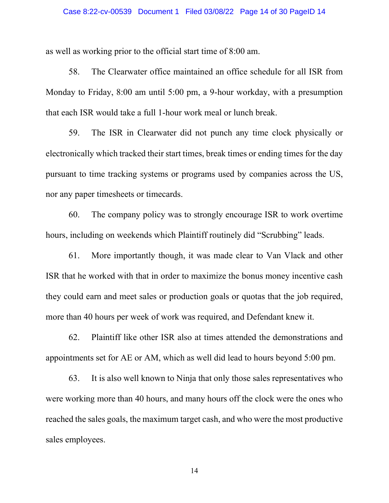#### Case 8:22-cv-00539 Document 1 Filed 03/08/22 Page 14 of 30 PageID 14

as well as working prior to the official start time of 8:00 am.

58. The Clearwater office maintained an office schedule for all ISR from Monday to Friday, 8:00 am until 5:00 pm, a 9-hour workday, with a presumption that each ISR would take a full 1-hour work meal or lunch break.

59. The ISR in Clearwater did not punch any time clock physically or electronically which tracked their start times, break times or ending times for the day pursuant to time tracking systems or programs used by companies across the US, nor any paper timesheets or timecards.

60. The company policy was to strongly encourage ISR to work overtime hours, including on weekends which Plaintiff routinely did "Scrubbing" leads.

61. More importantly though, it was made clear to Van Vlack and other ISR that he worked with that in order to maximize the bonus money incentive cash they could earn and meet sales or production goals or quotas that the job required, more than 40 hours per week of work was required, and Defendant knew it.

62. Plaintiff like other ISR also at times attended the demonstrations and appointments set for AE or AM, which as well did lead to hours beyond 5:00 pm.

63. It is also well known to Ninja that only those sales representatives who were working more than 40 hours, and many hours off the clock were the ones who reached the sales goals, the maximum target cash, and who were the most productive sales employees.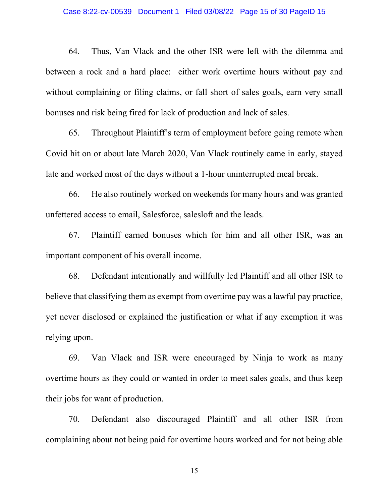#### Case 8:22-cv-00539 Document 1 Filed 03/08/22 Page 15 of 30 PageID 15

64. Thus, Van Vlack and the other ISR were left with the dilemma and between a rock and a hard place: either work overtime hours without pay and without complaining or filing claims, or fall short of sales goals, earn very small bonuses and risk being fired for lack of production and lack of sales.

65. Throughout Plaintiff's term of employment before going remote when Covid hit on or about late March 2020, Van Vlack routinely came in early, stayed late and worked most of the days without a 1-hour uninterrupted meal break.

66. He also routinely worked on weekends for many hours and was granted unfettered access to email, Salesforce, salesloft and the leads.

67. Plaintiff earned bonuses which for him and all other ISR, was an important component of his overall income.

68. Defendant intentionally and willfully led Plaintiff and all other ISR to believe that classifying them as exempt from overtime pay was a lawful pay practice, yet never disclosed or explained the justification or what if any exemption it was relying upon.

69. Van Vlack and ISR were encouraged by Ninja to work as many overtime hours as they could or wanted in order to meet sales goals, and thus keep their jobs for want of production.

70. Defendant also discouraged Plaintiff and all other ISR from complaining about not being paid for overtime hours worked and for not being able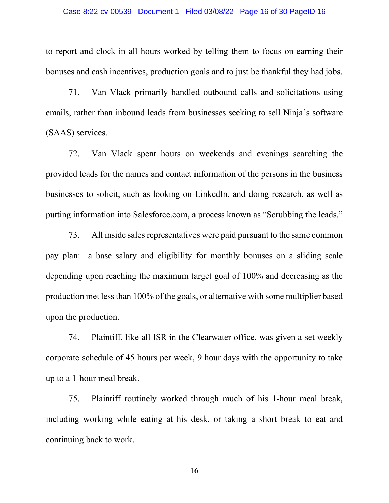#### Case 8:22-cv-00539 Document 1 Filed 03/08/22 Page 16 of 30 PageID 16

to report and clock in all hours worked by telling them to focus on earning their bonuses and cash incentives, production goals and to just be thankful they had jobs.

71. Van Vlack primarily handled outbound calls and solicitations using emails, rather than inbound leads from businesses seeking to sell Ninja's software (SAAS) services.

72. Van Vlack spent hours on weekends and evenings searching the provided leads for the names and contact information of the persons in the business businesses to solicit, such as looking on LinkedIn, and doing research, as well as putting information into Salesforce.com, a process known as "Scrubbing the leads."

73. All inside sales representatives were paid pursuant to the same common pay plan: a base salary and eligibility for monthly bonuses on a sliding scale depending upon reaching the maximum target goal of 100% and decreasing as the production met less than 100% of the goals, or alternative with some multiplier based upon the production.

74. Plaintiff, like all ISR in the Clearwater office, was given a set weekly corporate schedule of 45 hours per week, 9 hour days with the opportunity to take up to a 1-hour meal break.

75. Plaintiff routinely worked through much of his 1-hour meal break, including working while eating at his desk, or taking a short break to eat and continuing back to work.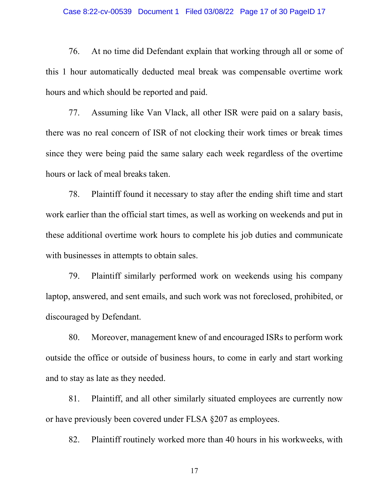#### Case 8:22-cv-00539 Document 1 Filed 03/08/22 Page 17 of 30 PageID 17

76. At no time did Defendant explain that working through all or some of this 1 hour automatically deducted meal break was compensable overtime work hours and which should be reported and paid.

77. Assuming like Van Vlack, all other ISR were paid on a salary basis, there was no real concern of ISR of not clocking their work times or break times since they were being paid the same salary each week regardless of the overtime hours or lack of meal breaks taken.

78. Plaintiff found it necessary to stay after the ending shift time and start work earlier than the official start times, as well as working on weekends and put in these additional overtime work hours to complete his job duties and communicate with businesses in attempts to obtain sales.

79. Plaintiff similarly performed work on weekends using his company laptop, answered, and sent emails, and such work was not foreclosed, prohibited, or discouraged by Defendant.

80. Moreover, management knew of and encouraged ISRs to perform work outside the office or outside of business hours, to come in early and start working and to stay as late as they needed.

81. Plaintiff, and all other similarly situated employees are currently now or have previously been covered under FLSA §207 as employees.

82. Plaintiff routinely worked more than 40 hours in his workweeks, with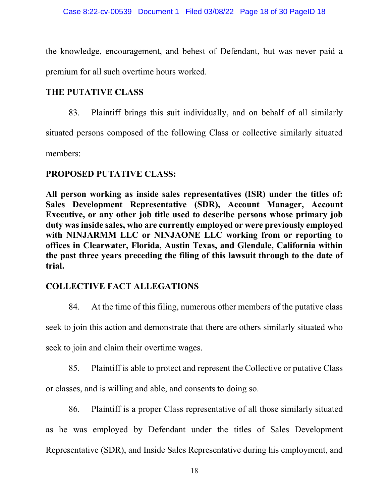the knowledge, encouragement, and behest of Defendant, but was never paid a premium for all such overtime hours worked.

# THE PUTATIVE CLASS

83. Plaintiff brings this suit individually, and on behalf of all similarly

situated persons composed of the following Class or collective similarly situated

members:

## PROPOSED PUTATIVE CLASS:

All person working as inside sales representatives (ISR) under the titles of: Sales Development Representative (SDR), Account Manager, Account Executive, or any other job title used to describe persons whose primary job duty was inside sales, who are currently employed or were previously employed with NINJARMM LLC or NINJAONE LLC working from or reporting to offices in Clearwater, Florida, Austin Texas, and Glendale, California within the past three years preceding the filing of this lawsuit through to the date of trial.

# COLLECTIVE FACT ALLEGATIONS

84. At the time of this filing, numerous other members of the putative class

seek to join this action and demonstrate that there are others similarly situated who

seek to join and claim their overtime wages.

85. Plaintiff is able to protect and represent the Collective or putative Class

or classes, and is willing and able, and consents to doing so.

86. Plaintiff is a proper Class representative of all those similarly situated as he was employed by Defendant under the titles of Sales Development Representative (SDR), and Inside Sales Representative during his employment, and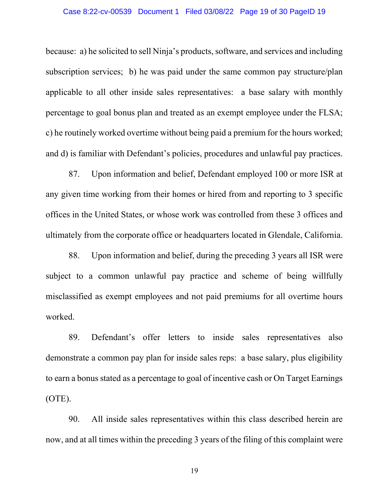#### Case 8:22-cv-00539 Document 1 Filed 03/08/22 Page 19 of 30 PageID 19

because: a) he solicited to sell Ninja's products, software, and services and including subscription services; b) he was paid under the same common pay structure/plan applicable to all other inside sales representatives: a base salary with monthly percentage to goal bonus plan and treated as an exempt employee under the FLSA; c) he routinely worked overtime without being paid a premium for the hours worked; and d) is familiar with Defendant's policies, procedures and unlawful pay practices.

87. Upon information and belief, Defendant employed 100 or more ISR at any given time working from their homes or hired from and reporting to 3 specific offices in the United States, or whose work was controlled from these 3 offices and ultimately from the corporate office or headquarters located in Glendale, California.

88. Upon information and belief, during the preceding 3 years all ISR were subject to a common unlawful pay practice and scheme of being willfully misclassified as exempt employees and not paid premiums for all overtime hours worked.

89. Defendant's offer letters to inside sales representatives also demonstrate a common pay plan for inside sales reps: a base salary, plus eligibility to earn a bonus stated as a percentage to goal of incentive cash or On Target Earnings (OTE).

90. All inside sales representatives within this class described herein are now, and at all times within the preceding 3 years of the filing of this complaint were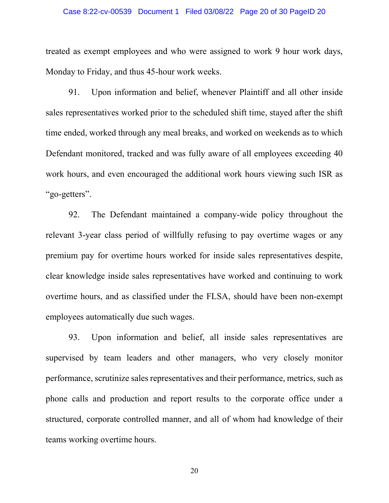#### Case 8:22-cv-00539 Document 1 Filed 03/08/22 Page 20 of 30 PageID 20

treated as exempt employees and who were assigned to work 9 hour work days, Monday to Friday, and thus 45-hour work weeks.

91. Upon information and belief, whenever Plaintiff and all other inside sales representatives worked prior to the scheduled shift time, stayed after the shift time ended, worked through any meal breaks, and worked on weekends as to which Defendant monitored, tracked and was fully aware of all employees exceeding 40 work hours, and even encouraged the additional work hours viewing such ISR as "go-getters".

92. The Defendant maintained a company-wide policy throughout the relevant 3-year class period of willfully refusing to pay overtime wages or any premium pay for overtime hours worked for inside sales representatives despite, clear knowledge inside sales representatives have worked and continuing to work overtime hours, and as classified under the FLSA, should have been non-exempt employees automatically due such wages.

93. Upon information and belief, all inside sales representatives are supervised by team leaders and other managers, who very closely monitor performance, scrutinize sales representatives and their performance, metrics, such as phone calls and production and report results to the corporate office under a structured, corporate controlled manner, and all of whom had knowledge of their teams working overtime hours.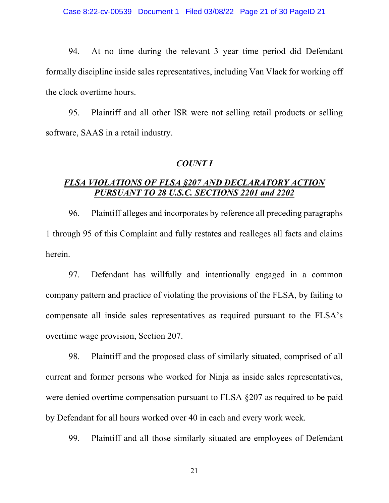94. At no time during the relevant 3 year time period did Defendant formally discipline inside sales representatives, including Van Vlack for working off the clock overtime hours.

95. Plaintiff and all other ISR were not selling retail products or selling software, SAAS in a retail industry.

### COUNT I

# FLSA VIOLATIONS OF FLSA §207 AND DECLARATORY ACTION PURSUANT TO 28 U.S.C. SECTIONS 2201 and 2202

96. Plaintiff alleges and incorporates by reference all preceding paragraphs 1 through 95 of this Complaint and fully restates and realleges all facts and claims herein.

97. Defendant has willfully and intentionally engaged in a common company pattern and practice of violating the provisions of the FLSA, by failing to compensate all inside sales representatives as required pursuant to the FLSA's overtime wage provision, Section 207.

98. Plaintiff and the proposed class of similarly situated, comprised of all current and former persons who worked for Ninja as inside sales representatives, were denied overtime compensation pursuant to FLSA §207 as required to be paid by Defendant for all hours worked over 40 in each and every work week.

99. Plaintiff and all those similarly situated are employees of Defendant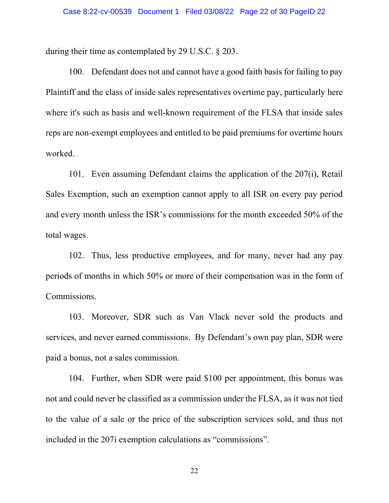during their time as contemplated by 29 U.S.C. § 203.

100. Defendant does not and cannot have a good faith basis for failing to pay Plaintiff and the class of inside sales representatives overtime pay, particularly here where it's such as basis and well-known requirement of the FLSA that inside sales reps are non-exempt employees and entitled to be paid premiums for overtime hours worked.

101. Even assuming Defendant claims the application of the 207(i), Retail Sales Exemption, such an exemption cannot apply to all ISR on every pay period and every month unless the ISR's commissions for the month exceeded 50% of the total wages.

102. Thus, less productive employees, and for many, never had any pay periods of months in which 50% or more of their compensation was in the form of Commissions.

103. Moreover, SDR such as Van Vlack never sold the products and services, and never earned commissions. By Defendant's own pay plan, SDR were paid a bonus, not a sales commission.

104. Further, when SDR were paid \$100 per appointment, this bonus was not and could never be classified as a commission under the FLSA, as it was not tied to the value of a sale or the price of the subscription services sold, and thus not included in the 207i exemption calculations as "commissions".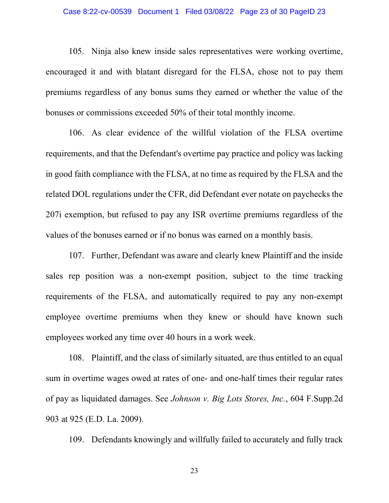#### Case 8:22-cv-00539 Document 1 Filed 03/08/22 Page 23 of 30 PageID 23

105. Ninja also knew inside sales representatives were working overtime, encouraged it and with blatant disregard for the FLSA, chose not to pay them premiums regardless of any bonus sums they earned or whether the value of the bonuses or commissions exceeded 50% of their total monthly income.

106. As clear evidence of the willful violation of the FLSA overtime requirements, and that the Defendant's overtime pay practice and policy was lacking in good faith compliance with the FLSA, at no time as required by the FLSA and the related DOL regulations under the CFR, did Defendant ever notate on paychecks the 207i exemption, but refused to pay any ISR overtime premiums regardless of the values of the bonuses earned or if no bonus was earned on a monthly basis.

107. Further, Defendant was aware and clearly knew Plaintiff and the inside sales rep position was a non-exempt position, subject to the time tracking requirements of the FLSA, and automatically required to pay any non-exempt employee overtime premiums when they knew or should have known such employees worked any time over 40 hours in a work week.

108. Plaintiff, and the class of similarly situated, are thus entitled to an equal sum in overtime wages owed at rates of one- and one-half times their regular rates of pay as liquidated damages. See Johnson v. Big Lots Stores, Inc., 604 F.Supp.2d 903 at 925 (E.D. La. 2009).

109. Defendants knowingly and willfully failed to accurately and fully track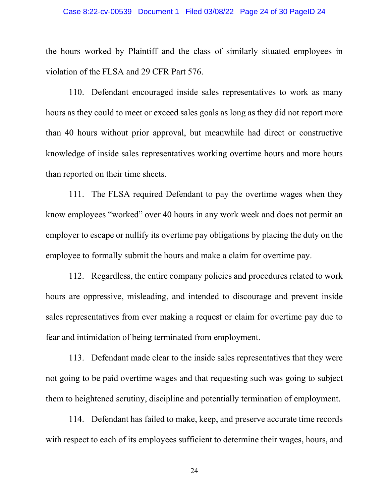#### Case 8:22-cv-00539 Document 1 Filed 03/08/22 Page 24 of 30 PageID 24

the hours worked by Plaintiff and the class of similarly situated employees in violation of the FLSA and 29 CFR Part 576.

110. Defendant encouraged inside sales representatives to work as many hours as they could to meet or exceed sales goals as long as they did not report more than 40 hours without prior approval, but meanwhile had direct or constructive knowledge of inside sales representatives working overtime hours and more hours than reported on their time sheets.

111. The FLSA required Defendant to pay the overtime wages when they know employees "worked" over 40 hours in any work week and does not permit an employer to escape or nullify its overtime pay obligations by placing the duty on the employee to formally submit the hours and make a claim for overtime pay.

112. Regardless, the entire company policies and procedures related to work hours are oppressive, misleading, and intended to discourage and prevent inside sales representatives from ever making a request or claim for overtime pay due to fear and intimidation of being terminated from employment.

113. Defendant made clear to the inside sales representatives that they were not going to be paid overtime wages and that requesting such was going to subject them to heightened scrutiny, discipline and potentially termination of employment.

114. Defendant has failed to make, keep, and preserve accurate time records with respect to each of its employees sufficient to determine their wages, hours, and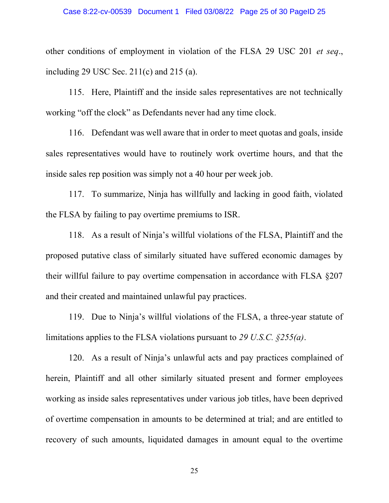other conditions of employment in violation of the FLSA 29 USC 201 et seq., including 29 USC Sec.  $211(c)$  and  $215(a)$ .

115. Here, Plaintiff and the inside sales representatives are not technically working "off the clock" as Defendants never had any time clock.

116. Defendant was well aware that in order to meet quotas and goals, inside sales representatives would have to routinely work overtime hours, and that the inside sales rep position was simply not a 40 hour per week job.

117. To summarize, Ninja has willfully and lacking in good faith, violated the FLSA by failing to pay overtime premiums to ISR.

118. As a result of Ninja's willful violations of the FLSA, Plaintiff and the proposed putative class of similarly situated have suffered economic damages by their willful failure to pay overtime compensation in accordance with FLSA §207 and their created and maintained unlawful pay practices.

119. Due to Ninja's willful violations of the FLSA, a three-year statute of limitations applies to the FLSA violations pursuant to 29 U.S.C.  $\S 255(a)$ .

120. As a result of Ninja's unlawful acts and pay practices complained of herein, Plaintiff and all other similarly situated present and former employees working as inside sales representatives under various job titles, have been deprived of overtime compensation in amounts to be determined at trial; and are entitled to recovery of such amounts, liquidated damages in amount equal to the overtime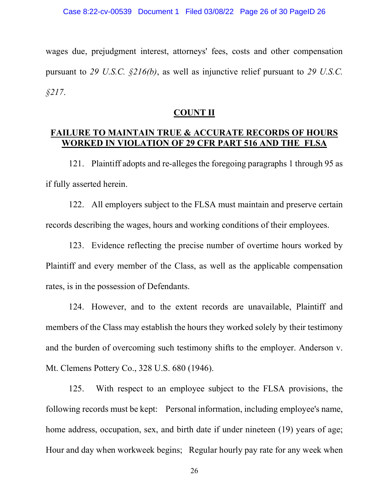wages due, prejudgment interest, attorneys' fees, costs and other compensation pursuant to 29 U.S.C.  $\frac{216}{b}$ , as well as injunctive relief pursuant to 29 U.S.C. §217.

## COUNT II

# FAILURE TO MAINTAIN TRUE & ACCURATE RECORDS OF HOURS WORKED IN VIOLATION OF 29 CFR PART 516 AND THE FLSA

121. Plaintiff adopts and re-alleges the foregoing paragraphs 1 through 95 as if fully asserted herein.

122. All employers subject to the FLSA must maintain and preserve certain records describing the wages, hours and working conditions of their employees.

123. Evidence reflecting the precise number of overtime hours worked by Plaintiff and every member of the Class, as well as the applicable compensation rates, is in the possession of Defendants.

124. However, and to the extent records are unavailable, Plaintiff and members of the Class may establish the hours they worked solely by their testimony and the burden of overcoming such testimony shifts to the employer. Anderson v. Mt. Clemens Pottery Co., 328 U.S. 680 (1946).

125. With respect to an employee subject to the FLSA provisions, the following records must be kept: Personal information, including employee's name, home address, occupation, sex, and birth date if under nineteen (19) years of age; Hour and day when workweek begins; Regular hourly pay rate for any week when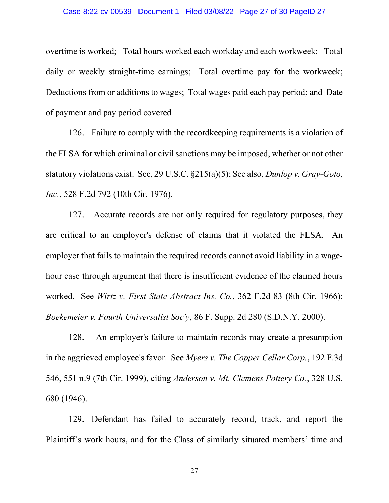#### Case 8:22-cv-00539 Document 1 Filed 03/08/22 Page 27 of 30 PageID 27

overtime is worked; Total hours worked each workday and each workweek; Total daily or weekly straight-time earnings; Total overtime pay for the workweek; Deductions from or additions to wages; Total wages paid each pay period; and Date of payment and pay period covered

126. Failure to comply with the recordkeeping requirements is a violation of the FLSA for which criminal or civil sanctions may be imposed, whether or not other statutory violations exist. See, 29 U.S.C. §215(a)(5); See also, Dunlop v. Gray-Goto, Inc., 528 F.2d 792 (10th Cir. 1976).

127. Accurate records are not only required for regulatory purposes, they are critical to an employer's defense of claims that it violated the FLSA. An employer that fails to maintain the required records cannot avoid liability in a wagehour case through argument that there is insufficient evidence of the claimed hours worked. See Wirtz v. First State Abstract Ins. Co., 362 F.2d 83 (8th Cir. 1966); Boekemeier v. Fourth Universalist Soc'y, 86 F. Supp. 2d 280 (S.D.N.Y. 2000).

128. An employer's failure to maintain records may create a presumption in the aggrieved employee's favor. See Myers v. The Copper Cellar Corp., 192 F.3d 546, 551 n.9 (7th Cir. 1999), citing Anderson v. Mt. Clemens Pottery Co., 328 U.S. 680 (1946).

129. Defendant has failed to accurately record, track, and report the Plaintiff's work hours, and for the Class of similarly situated members' time and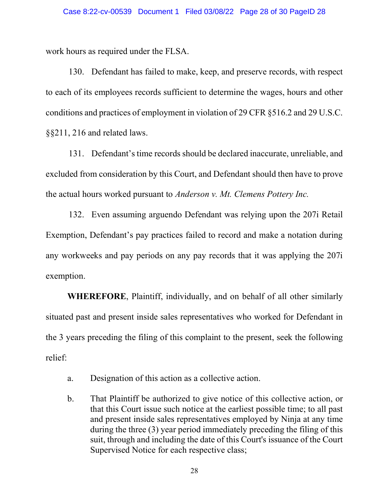work hours as required under the FLSA.

130. Defendant has failed to make, keep, and preserve records, with respect to each of its employees records sufficient to determine the wages, hours and other conditions and practices of employment in violation of 29 CFR §516.2 and 29 U.S.C. §§211, 216 and related laws.

131. Defendant's time records should be declared inaccurate, unreliable, and excluded from consideration by this Court, and Defendant should then have to prove the actual hours worked pursuant to Anderson v. Mt. Clemens Pottery Inc.

132. Even assuming arguendo Defendant was relying upon the 207i Retail Exemption, Defendant's pay practices failed to record and make a notation during any workweeks and pay periods on any pay records that it was applying the 207i exemption.

WHEREFORE, Plaintiff, individually, and on behalf of all other similarly situated past and present inside sales representatives who worked for Defendant in the 3 years preceding the filing of this complaint to the present, seek the following relief:

- a. Designation of this action as a collective action.
- b. That Plaintiff be authorized to give notice of this collective action, or that this Court issue such notice at the earliest possible time; to all past and present inside sales representatives employed by Ninja at any time during the three (3) year period immediately preceding the filing of this suit, through and including the date of this Court's issuance of the Court Supervised Notice for each respective class;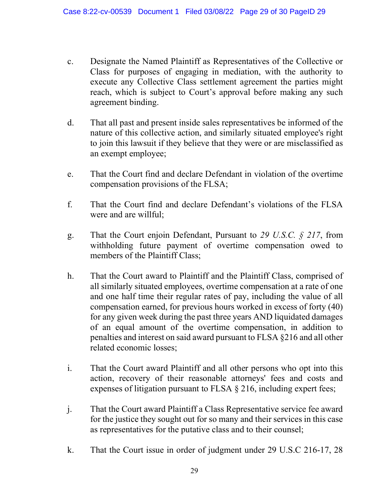- c. Designate the Named Plaintiff as Representatives of the Collective or Class for purposes of engaging in mediation, with the authority to execute any Collective Class settlement agreement the parties might reach, which is subject to Court's approval before making any such agreement binding.
- d. That all past and present inside sales representatives be informed of the nature of this collective action, and similarly situated employee's right to join this lawsuit if they believe that they were or are misclassified as an exempt employee;
- e. That the Court find and declare Defendant in violation of the overtime compensation provisions of the FLSA;
- f. That the Court find and declare Defendant's violations of the FLSA were and are willful;
- g. That the Court enjoin Defendant, Pursuant to 29 U.S.C.  $\S$  217, from withholding future payment of overtime compensation owed to members of the Plaintiff Class;
- h. That the Court award to Plaintiff and the Plaintiff Class, comprised of all similarly situated employees, overtime compensation at a rate of one and one half time their regular rates of pay, including the value of all compensation earned, for previous hours worked in excess of forty (40) for any given week during the past three years AND liquidated damages of an equal amount of the overtime compensation, in addition to penalties and interest on said award pursuant to FLSA §216 and all other related economic losses;
- i. That the Court award Plaintiff and all other persons who opt into this action, recovery of their reasonable attorneys' fees and costs and expenses of litigation pursuant to FLSA § 216, including expert fees;
- j. That the Court award Plaintiff a Class Representative service fee award for the justice they sought out for so many and their services in this case as representatives for the putative class and to their counsel;
- k. That the Court issue in order of judgment under 29 U.S.C 216-17, 28